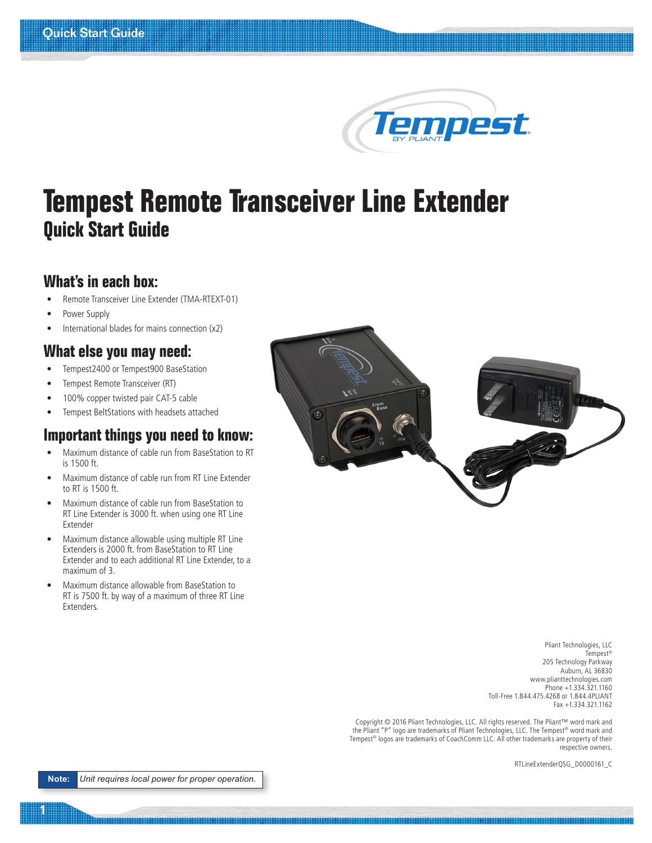# Tempest

# **Tempest Remote Transceiver Line Extender Quick Start Guide**

#### **What's in each box:**

- Remote Transceiver Line Extender (TMA-RTEXT-01)
- Power Supply
- International blades for mains connection (x2)

#### **What else you may need:**

- Tempest2400 or Tempest900 BaseStation
- Tempest Remote Transceiver (RT)
- 100% copper twisted pair CAT-5 cable
- Tempest BeltStations with headsets attached

## **Important things you need to know:**

- Maximum distance of cable run from BaseStation to RT is 1500 ft.
- Maximum distance of cable run from RT Line Extender to RT is 1500 ft.
- Maximum distance of cable run from BaseStation to RT Line Extender is 3000 ft. when using one RT Line Extender
- Maximum distance allowable using multiple RT Line Extenders is 2000 ft. from BaseStation to RT Line Extender and to each additional RT Line Extender, to a maximum of 3.
- Maximum distance allowable from BaseStation to RT is 7500 ft. by way of a maximum of three RT Line Extenders.



Pliant Technologies, LLC Tempest® 205 Technology Parkway Auburn, AL 36830 www.plianttechnologies.com Phone +1.334.321.1160 Toll-Free 1.844.475.4268 or 1.844.4PLIANT Fax +1.334.321.1162

Copyright © 2016 Pliant Technologies, LLC. All rights reserved. The Pliant™ word mark and the Pliant "P" logo are trademarks of Pliant Technologies, LLC. The Tempest® word mark and Tempest® logos are trademarks of CoachComm LLC. All other trademarks are property of their respective owners.

RTLineExtenderQSG\_D0000161\_C